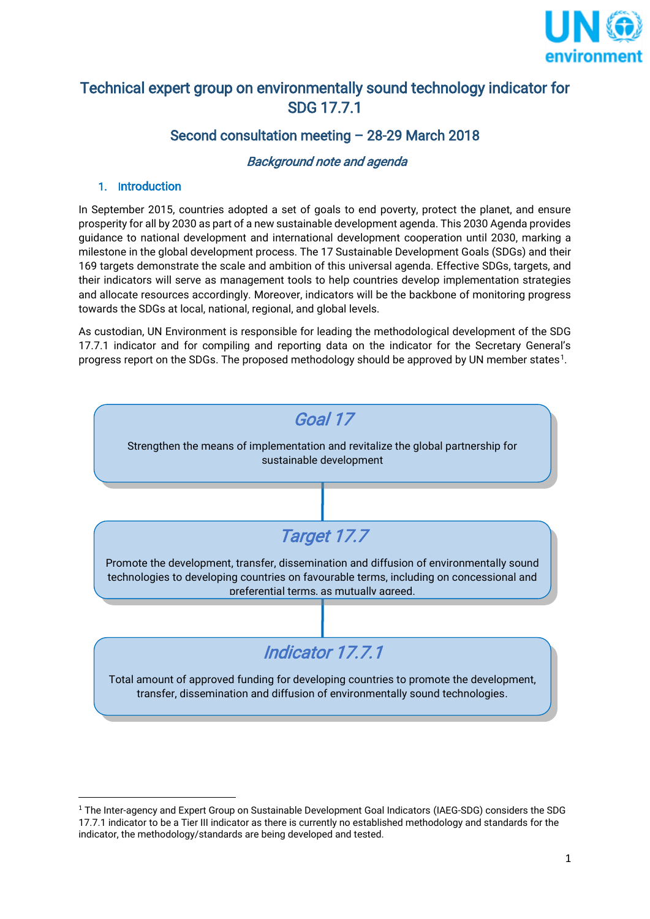

# Technical expert group on environmentally sound technology indicator for SDG 17.7.1

# Second consultation meeting – 28-29 March 2018

# Background note and agenda

### 1. Introduction

**.** 

In September 2015, countries adopted a set of goals to end poverty, protect the planet, and ensure prosperity for all by 2030 as part of a new sustainable development agenda. This 2030 Agenda provides guidance to national development and international development cooperation until 2030, marking a milestone in the global development process. The 17 Sustainable Development Goals (SDGs) and their 169 targets demonstrate the scale and ambition of this universal agenda. Effective SDGs, targets, and their indicators will serve as management tools to help countries develop implementation strategies and allocate resources accordingly. Moreover, indicators will be the backbone of monitoring progress towards the SDGs at local, national, regional, and global levels.

As custodian, UN Environment is responsible for leading the methodological development of the SDG 17.7.1 indicator and for compiling and reporting data on the indicator for the Secretary General's progress report on the SDGs. The proposed methodology should be approved by UN member states<sup>1</sup>.



 $^{\rm 1}$  The Inter-agency and Expert Group on Sustainable Development Goal Indicators (IAEG-SDG) considers the SDG 17.7.1 indicator to be a Tier III indicator as there is currently no established methodology and standards for the indicator, the methodology/standards are being developed and tested.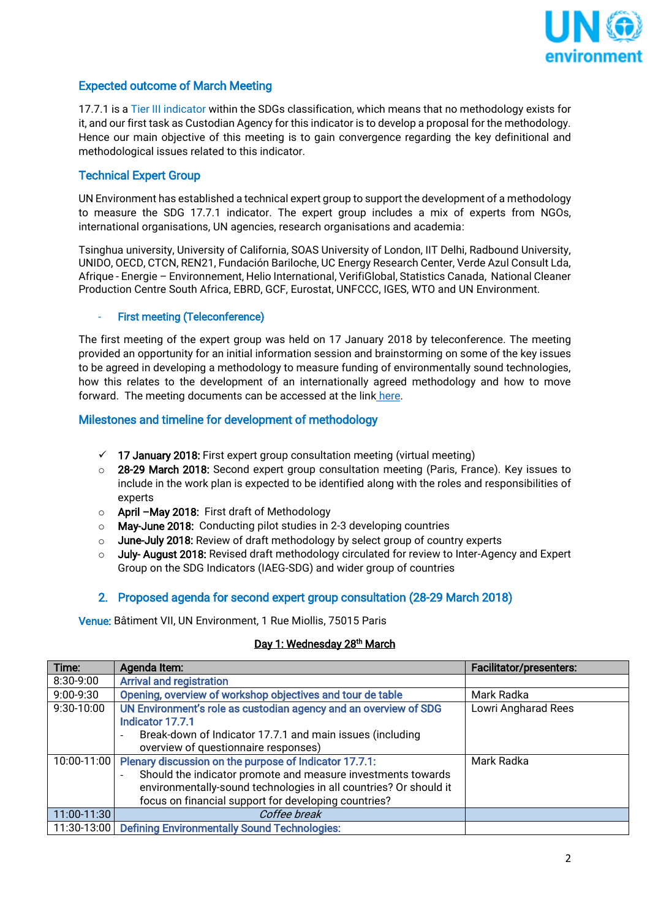

### Expected outcome of March Meeting

17.7.1 is a Tier III indicator within the SDGs classification, which means that no methodology exists for it, and our first task as Custodian Agency for this indicator is to develop a proposal for the methodology. Hence our main objective of this meeting is to gain convergence regarding the key definitional and methodological issues related to this indicator.

## Technical Expert Group

UN Environment has established a technical expert group to support the development of a methodology to measure the SDG 17.7.1 indicator. The expert group includes a mix of experts from NGOs, international organisations, UN agencies, research organisations and academia:

Tsinghua university, University of California, SOAS University of London, IIT Delhi, Radbound University, UNIDO, OECD, CTCN, REN21, Fundación Bariloche, UC Energy Research Center, Verde Azul Consult Lda, Afrique - Energie – Environnement, Helio International, VerifiGlobal, Statistics Canada, National Cleaner Production Centre South Africa, EBRD, GCF, Eurostat, UNFCCC, IGES, WTO and UN Environment.

#### First meeting (Teleconference)

The first meeting of the expert group was held on 17 January 2018 by teleconference. The meeting provided an opportunity for an initial information session and brainstorming on some of the key issues to be agreed in developing a methodology to measure funding of environmentally sound technologies, how this relates to the development of an internationally agreed methodology and how to move forward. The meeting documents can be accessed at the link [here.](https://www.dropbox.com/home/SDG%20Indicator%2017.7.1%20Materials)

#### Milestones and timeline for development of methodology

- $\checkmark$  17 January 2018: First expert group consultation meeting (virtual meeting)
- o 28-29 March 2018: Second expert group consultation meeting (Paris, France). Key issues to include in the work plan is expected to be identified along with the roles and responsibilities of experts
- o April –May 2018: First draft of Methodology
- o May-June 2018: Conducting pilot studies in 2-3 developing countries
- $\circ$  June-July 2018: Review of draft methodology by select group of country experts
- $\circ$  July-August 2018: Revised draft methodology circulated for review to Inter-Agency and Expert Group on the SDG Indicators (IAEG-SDG) and wider group of countries

#### 2. Proposed agenda for second expert group consultation (28-29 March 2018)

Venue: Bâtiment VII, UN Environment, 1 Rue Miollis, 75015 Paris

#### <u>Day 1: Wednesday 28<sup>th</sup> March</u>

| Time:       | Agenda Item:                                                                             | <b>Facilitator/presenters:</b> |
|-------------|------------------------------------------------------------------------------------------|--------------------------------|
| 8:30-9:00   | <b>Arrival and registration</b>                                                          |                                |
| 9:00-9:30   | Opening, overview of workshop objectives and tour de table                               | Mark Radka                     |
| 9:30-10:00  | UN Environment's role as custodian agency and an overview of SDG                         | Lowri Angharad Rees            |
|             | Indicator 17.7.1                                                                         |                                |
|             | Break-down of Indicator 17.7.1 and main issues (including<br>$\overline{\phantom{a}}$    |                                |
|             | overview of questionnaire responses)                                                     |                                |
| 10:00-11:00 | Plenary discussion on the purpose of Indicator 17.7.1:                                   | Mark Radka                     |
|             | Should the indicator promote and measure investments towards<br>$\overline{\phantom{a}}$ |                                |
|             | environmentally-sound technologies in all countries? Or should it                        |                                |
|             | focus on financial support for developing countries?                                     |                                |
| 11:00-11:30 | Coffee break                                                                             |                                |
|             | 11:30-13:00 Defining Environmentally Sound Technologies:                                 |                                |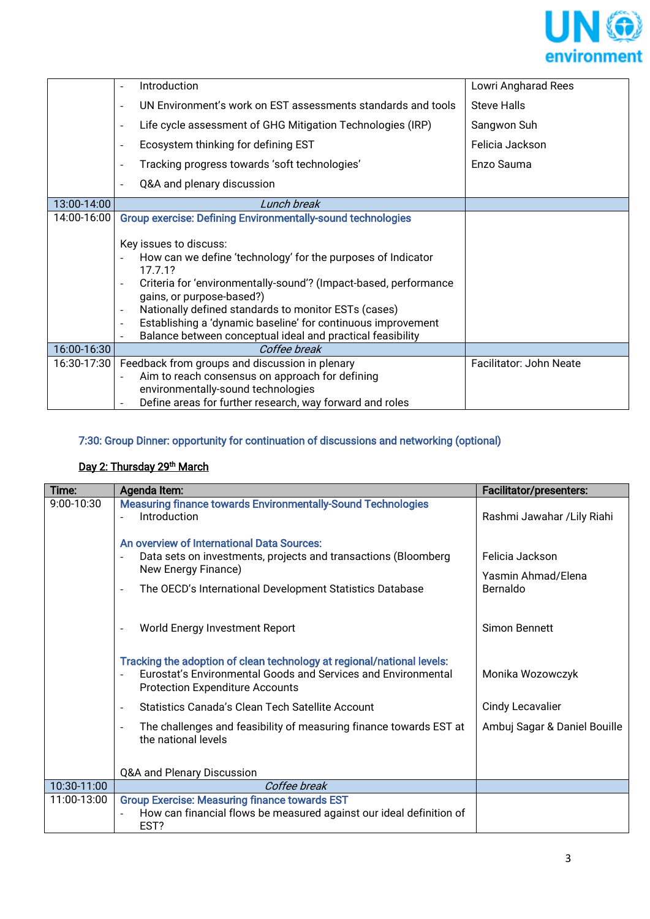

|             | Introduction                                                                                                                                                                                                                                                                                                                                                                                                                                                       | Lowri Angharad Rees     |
|-------------|--------------------------------------------------------------------------------------------------------------------------------------------------------------------------------------------------------------------------------------------------------------------------------------------------------------------------------------------------------------------------------------------------------------------------------------------------------------------|-------------------------|
|             | UN Environment's work on EST assessments standards and tools<br>$\overline{\phantom{a}}$                                                                                                                                                                                                                                                                                                                                                                           | <b>Steve Halls</b>      |
|             | Life cycle assessment of GHG Mitigation Technologies (IRP)<br>$\overline{\phantom{a}}$                                                                                                                                                                                                                                                                                                                                                                             | Sangwon Suh             |
|             | Ecosystem thinking for defining EST<br>$\overline{\phantom{a}}$                                                                                                                                                                                                                                                                                                                                                                                                    | Felicia Jackson         |
|             | Tracking progress towards 'soft technologies'<br>$\overline{\phantom{a}}$                                                                                                                                                                                                                                                                                                                                                                                          | Enzo Sauma              |
|             | Q&A and plenary discussion<br>$\overline{\phantom{a}}$                                                                                                                                                                                                                                                                                                                                                                                                             |                         |
| 13:00-14:00 | Lunch break                                                                                                                                                                                                                                                                                                                                                                                                                                                        |                         |
| 14:00-16:00 | <b>Group exercise: Defining Environmentally-sound technologies</b>                                                                                                                                                                                                                                                                                                                                                                                                 |                         |
|             | Key issues to discuss:<br>How can we define 'technology' for the purposes of Indicator<br>17.7.1?<br>Criteria for 'environmentally-sound'? (Impact-based, performance<br>$\overline{\phantom{a}}$<br>gains, or purpose-based?)<br>Nationally defined standards to monitor ESTs (cases)<br>$\blacksquare$<br>Establishing a 'dynamic baseline' for continuous improvement<br>$\overline{\phantom{a}}$<br>Balance between conceptual ideal and practical feasibility |                         |
| 16:00-16:30 | Coffee break                                                                                                                                                                                                                                                                                                                                                                                                                                                       |                         |
| 16:30-17:30 | Feedback from groups and discussion in plenary<br>Aim to reach consensus on approach for defining<br>environmentally-sound technologies<br>Define areas for further research, way forward and roles                                                                                                                                                                                                                                                                | Facilitator: John Neate |

# 7:30: Group Dinner: opportunity for continuation of discussions and networking (optional)

#### Day 2: Thursday 29th March

| Time:       | Agenda Item:                                                                                                                                                                                                                | <b>Facilitator/presenters:</b>                    |
|-------------|-----------------------------------------------------------------------------------------------------------------------------------------------------------------------------------------------------------------------------|---------------------------------------------------|
| 9:00-10:30  | <b>Measuring finance towards Environmentally-Sound Technologies</b><br>Introduction                                                                                                                                         | Rashmi Jawahar / Lily Riahi                       |
|             | An overview of International Data Sources:<br>Data sets on investments, projects and transactions (Bloomberg<br>New Energy Finance)<br>The OECD's International Development Statistics Database<br>$\overline{\phantom{0}}$ | Felicia Jackson<br>Yasmin Ahmad/Elena<br>Bernaldo |
|             | World Energy Investment Report                                                                                                                                                                                              | Simon Bennett                                     |
|             | Tracking the adoption of clean technology at regional/national levels:<br>Eurostat's Environmental Goods and Services and Environmental<br><b>Protection Expenditure Accounts</b>                                           | Monika Wozowczyk                                  |
|             | Statistics Canada's Clean Tech Satellite Account<br>$\overline{\phantom{a}}$                                                                                                                                                | Cindy Lecavalier                                  |
|             | The challenges and feasibility of measuring finance towards EST at<br>$\overline{\phantom{0}}$<br>the national levels                                                                                                       | Ambuj Sagar & Daniel Bouille                      |
|             | Q&A and Plenary Discussion                                                                                                                                                                                                  |                                                   |
| 10:30-11:00 | Coffee break                                                                                                                                                                                                                |                                                   |
| 11:00-13:00 | <b>Group Exercise: Measuring finance towards EST</b><br>How can financial flows be measured against our ideal definition of<br>EST?                                                                                         |                                                   |